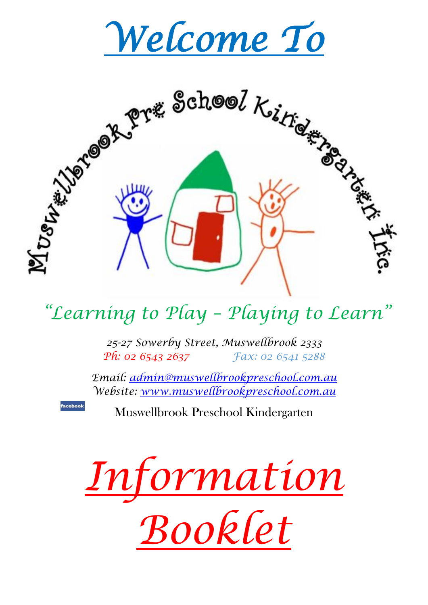



# *"Learning to Play – Playing to Learn"*

*25-27 Sowerby Street, Muswellbrook 2333 Ph: 02 6543 2637 Fax: 02 6541 5288*

*Email: [admin@muswellbrookpreschool.com.au](mailto:admin@muswellbrookpreschool.com.au) Website: [www.muswellbrookpreschool.com.au](http://www.muswellbrookpreschool.com.au/)*

Muswellbrook Preschool Kindergarten

**faceboo** 

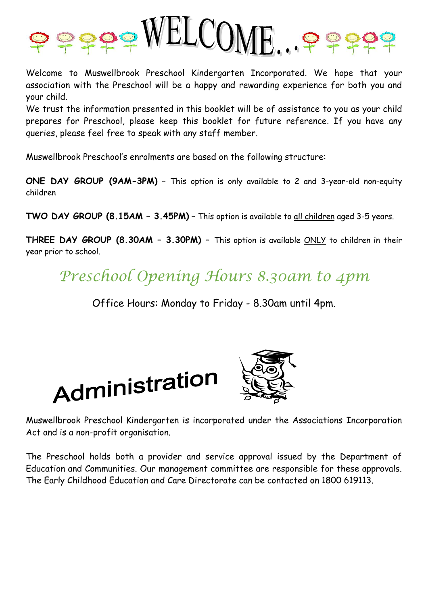

Welcome to Muswellbrook Preschool Kindergarten Incorporated. We hope that your association with the Preschool will be a happy and rewarding experience for both you and your child.

We trust the information presented in this booklet will be of assistance to you as your child prepares for Preschool, please keep this booklet for future reference. If you have any queries, please feel free to speak with any staff member.

Muswellbrook Preschool's enrolments are based on the following structure:

**ONE DAY GROUP (9AM-3PM)** – This option is only available to 2 and 3-year-old non-equity children

**TWO DAY GROUP (8.15AM – 3.45PM)** – This option is available to all children aged 3-5 years.

**THREE DAY GROUP (8.30AM – 3.30PM) –** This option is available ONLY to children in their year prior to school.

*Preschool Opening Hours 8.30am to 4pm*

Office Hours: Monday to Friday - 8.30am until 4pm.





Muswellbrook Preschool Kindergarten is incorporated under the Associations Incorporation Act and is a non-profit organisation.

The Preschool holds both a provider and service approval issued by the Department of Education and Communities. Our management committee are responsible for these approvals. The Early Childhood Education and Care Directorate can be contacted on 1800 619113.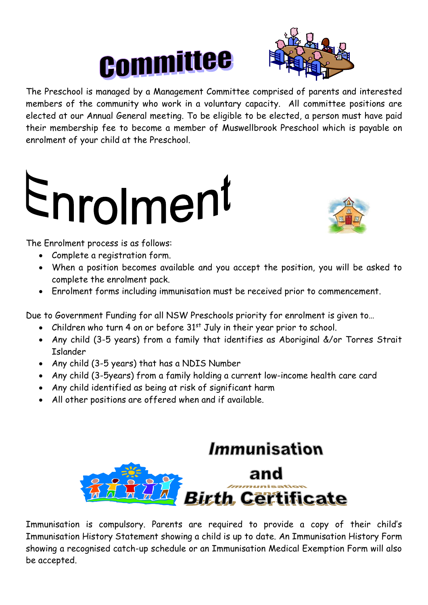



The Preschool is managed by a Management Committee comprised of parents and interested members of the community who work in a voluntary capacity. All committee positions are elected at our Annual General meeting. To be eligible to be elected, a person must have paid their membership fee to become a member of Muswellbrook Preschool which is payable on enrolment of your child at the Preschool.

# Enrolment



The Enrolment process is as follows:

- Complete a registration form.
- When a position becomes available and you accept the position, you will be asked to complete the enrolment pack.
- Enrolment forms including immunisation must be received prior to commencement.

Due to Government Funding for all NSW Preschools priority for enrolment is given to…

- Children who turn 4 on or before  $31<sup>st</sup>$  July in their year prior to school.
- Any child (3-5 years) from a family that identifies as Aboriginal &/or Torres Strait Islander
- Any child (3-5 years) that has a NDIS Number
- Any child (3-5years) from a family holding a current low-income health care card
- Any child identified as being at risk of significant harm
- All other positions are offered when and if available.



Immunisation is compulsory. Parents are required to provide a copy of their child's Immunisation History Statement showing a child is up to date. An Immunisation History Form showing a recognised catch-up schedule or an Immunisation Medical Exemption Form will also be accepted.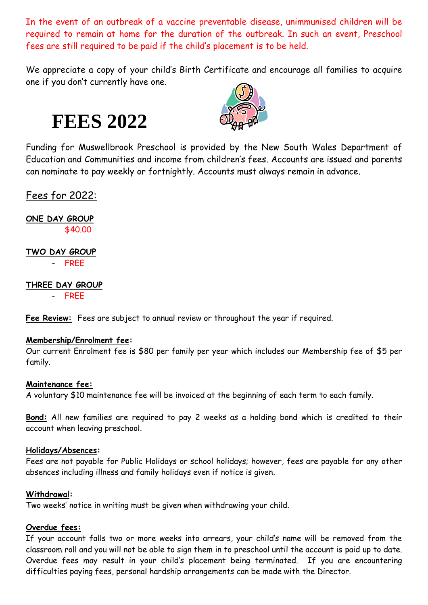In the event of an outbreak of a vaccine preventable disease, unimmunised children will be required to remain at home for the duration of the outbreak. In such an event, Preschool fees are still required to be paid if the child's placement is to be held.

We appreciate a copy of your child's Birth Certificate and encourage all families to acquire one if you don't currently have one.

**FEES 2022**



Funding for Muswellbrook Preschool is provided by the New South Wales Department of Education and Communities and income from children's fees. Accounts are issued and parents can nominate to pay weekly or fortnightly. Accounts must always remain in advance.

Fees for 2022:

**ONE DAY GROUP** \$40.00

**TWO DAY GROUP** - FREE

**THREE DAY GROUP** 

- FREE

**Fee Review:** Fees are subject to annual review or throughout the year if required.

#### **Membership/Enrolment fee:**

Our current Enrolment fee is \$80 per family per year which includes our Membership fee of \$5 per family.

#### **Maintenance fee:**

A voluntary \$10 maintenance fee will be invoiced at the beginning of each term to each family.

**Bond:** All new families are required to pay 2 weeks as a holding bond which is credited to their account when leaving preschool.

#### **Holidays/Absences:**

Fees are not payable for Public Holidays or school holidays; however, fees are payable for any other absences including illness and family holidays even if notice is given.

#### **Withdrawal:**

Two weeks' notice in writing must be given when withdrawing your child.

#### **Overdue fees:**

If your account falls two or more weeks into arrears, your child's name will be removed from the classroom roll and you will not be able to sign them in to preschool until the account is paid up to date. Overdue fees may result in your child's placement being terminated. If you are encountering difficulties paying fees, personal hardship arrangements can be made with the Director.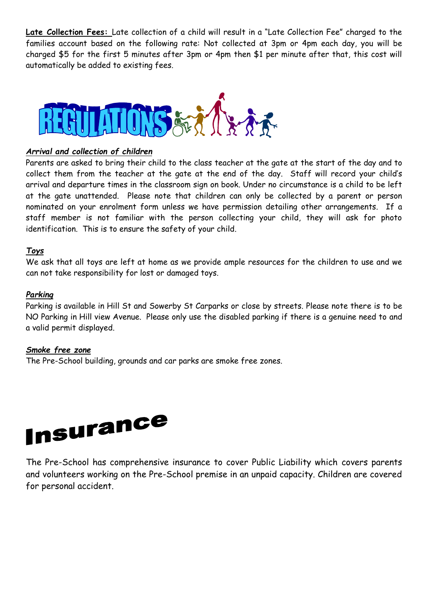**Late Collection Fees:** Late collection of a child will result in a "Late Collection Fee" charged to the families account based on the following rate: Not collected at 3pm or 4pm each day, you will be charged \$5 for the first 5 minutes after 3pm or 4pm then \$1 per minute after that, this cost will automatically be added to existing fees.



#### *Arrival and collection of children*

Parents are asked to bring their child to the class teacher at the gate at the start of the day and to collect them from the teacher at the gate at the end of the day. Staff will record your child's arrival and departure times in the classroom sign on book. Under no circumstance is a child to be left at the gate unattended. Please note that children can only be collected by a parent or person nominated on your enrolment form unless we have permission detailing other arrangements. If a staff member is not familiar with the person collecting your child, they will ask for photo identification. This is to ensure the safety of your child.

#### *Toys*

We ask that all toys are left at home as we provide ample resources for the children to use and we can not take responsibility for lost or damaged toys.

#### *Parking*

Parking is available in Hill St and Sowerby St Carparks or close by streets. Please note there is to be NO Parking in Hill view Avenue. Please only use the disabled parking if there is a genuine need to and a valid permit displayed.

#### *Smoke free zone*

The Pre-School building, grounds and car parks are smoke free zones.



The Pre-School has comprehensive insurance to cover Public Liability which covers parents and volunteers working on the Pre-School premise in an unpaid capacity. Children are covered for personal accident.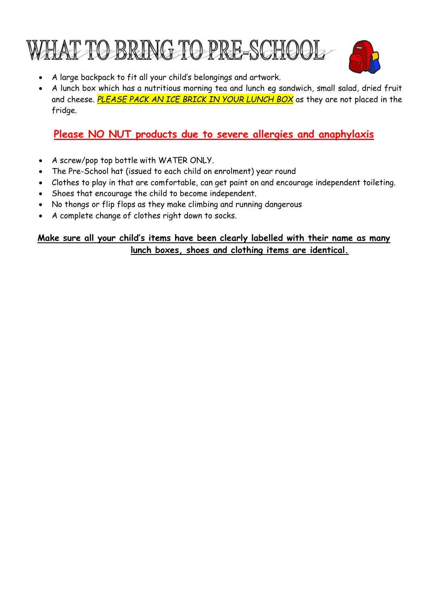



- A large backpack to fit all your child's belongings and artwork.
- A lunch box which has a nutritious morning tea and lunch eg sandwich, small salad, dried fruit and cheese. *PLEASE PACK AN ICE BRICK IN YOUR LUNCH BOX* as they are not placed in the fridge.

#### **Please NO NUT products due to severe allergies and anaphylaxis**

- A screw/pop top bottle with WATER ONLY.
- The Pre-School hat (issued to each child on enrolment) year round
- Clothes to play in that are comfortable, can get paint on and encourage independent toileting.
- Shoes that encourage the child to become independent.
- No thongs or flip flops as they make climbing and running dangerous
- A complete change of clothes right down to socks.

#### **Make sure all your child's items have been clearly labelled with their name as many lunch boxes, shoes and clothing items are identical.**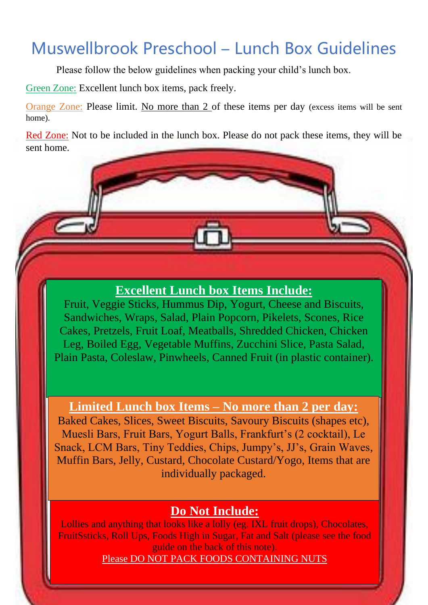# Muswellbrook Preschool – Lunch Box Guidelines

Please follow the below guidelines when packing your child's lunch box.

Green Zone: Excellent lunch box items, pack freely.

Orange Zone: Please limit. No more than 2 of these items per day (excess items will be sent home).

Red Zone: Not to be included in the lunch box. Please do not pack these items, they will be sent home.

#### **Excellent Lunch box Items Include:**

Fruit, Veggie Sticks, Hummus Dip, Yogurt, Cheese and Biscuits, Sandwiches, Wraps, Salad, Plain Popcorn, Pikelets, Scones, Rice Cakes, Pretzels, Fruit Loaf, Meatballs, Shredded Chicken, Chicken Leg, Boiled Egg, Vegetable Muffins, Zucchini Slice, Pasta Salad, Plain Pasta, Coleslaw, Pinwheels, Canned Fruit (in plastic container).

**Limited Lunch box Items – No more than 2 per day:** 

Baked Cakes, Slices, Sweet Biscuits, Savoury Biscuits (shapes etc), Muesli Bars, Fruit Bars, Yogurt Balls, Frankfurt's (2 cocktail), Le Snack, LCM Bars, Tiny Teddies, Chips, Jumpy's, JJ's, Grain Waves, Muffin Bars, Jelly, Custard, Chocolate Custard/Yogo, Items that are individually packaged.

#### **Do Not Include:**

Lollies and anything that looks like a lolly (eg. IXL fruit drops), Chocolates, FruitSsticks, Roll Ups, Foods High in Sugar, Fat and Salt (please see the food guide on the back of this note). Please DO NOT PACK FOODS CONTAINING NUTS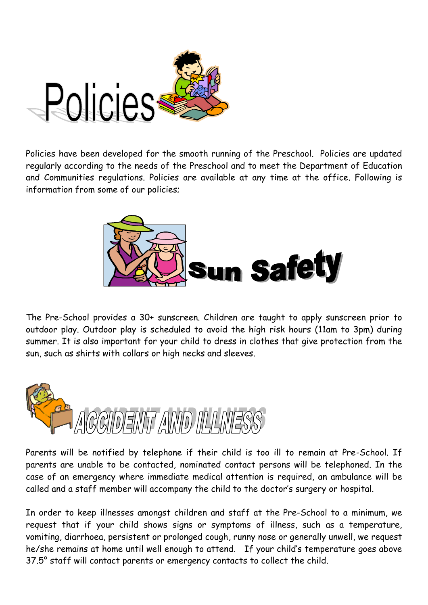

Policies have been developed for the smooth running of the Preschool. Policies are updated regularly according to the needs of the Preschool and to meet the Department of Education and Communities regulations. Policies are available at any time at the office. Following is information from some of our policies;



The Pre-School provides a 30+ sunscreen. Children are taught to apply sunscreen prior to outdoor play. Outdoor play is scheduled to avoid the high risk hours (11am to 3pm) during summer. It is also important for your child to dress in clothes that give protection from the sun, such as shirts with collars or high necks and sleeves.



Parents will be notified by telephone if their child is too ill to remain at Pre-School. If parents are unable to be contacted, nominated contact persons will be telephoned. In the case of an emergency where immediate medical attention is required, an ambulance will be called and a staff member will accompany the child to the doctor's surgery or hospital.

In order to keep illnesses amongst children and staff at the Pre-School to a minimum, we request that if your child shows signs or symptoms of illness, such as a temperature, vomiting, diarrhoea, persistent or prolonged cough, runny nose or generally unwell, we request he/she remains at home until well enough to attend. If your child's temperature goes above 37.5° staff will contact parents or emergency contacts to collect the child.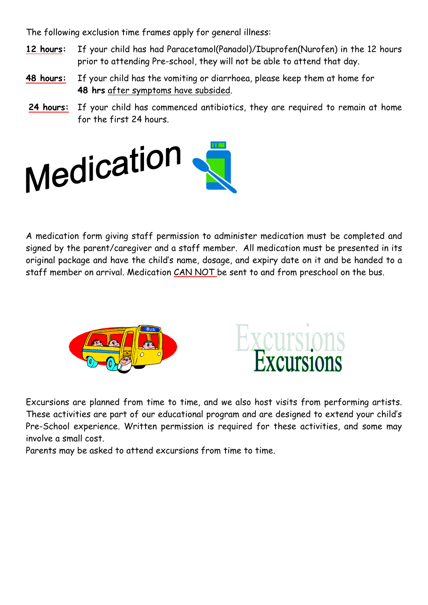The following exclusion time frames apply for general illness:

- **12 hours:** If your child has had Paracetamol(Panadol)/Ibuprofen(Nurofen) in the 12 hours prior to attending Pre-school, they will not be able to attend that day.
- **48 hours:** If your child has the vomiting or diarrhoea, please keep them at home for **48 hrs** after symptoms have subsided.
- **24 hours:** If your child has commenced antibiotics, they are required to remain at home for the first 24 hours.



A medication form giving staff permission to administer medication must be completed and signed by the parent/caregiver and a staff member. All medication must be presented in its original package and have the child's name, dosage, and expiry date on it and be handed to a staff member on arrival. Medication CAN NOT be sent to and from preschool on the bus.





Excursions are planned from time to time, and we also host visits from performing artists. These activities are part of our educational program and are designed to extend your child's Pre-School experience. Written permission is required for these activities, and some may involve a small cost.

Parents may be asked to attend excursions from time to time.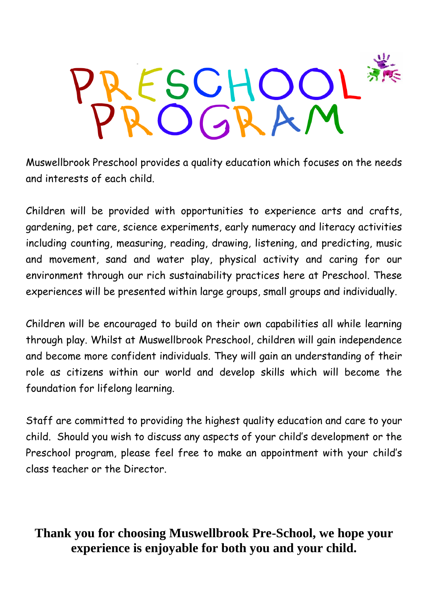

Muswellbrook Preschool provides a quality education which focuses on the needs and interests of each child.

Children will be provided with opportunities to experience arts and crafts, gardening, pet care, science experiments, early numeracy and literacy activities including counting, measuring, reading, drawing, listening, and predicting, music and movement, sand and water play, physical activity and caring for our environment through our rich sustainability practices here at Preschool. These experiences will be presented within large groups, small groups and individually.

Children will be encouraged to build on their own capabilities all while learning through play. Whilst at Muswellbrook Preschool, children will gain independence and become more confident individuals. They will gain an understanding of their role as citizens within our world and develop skills which will become the foundation for lifelong learning.

Staff are committed to providing the highest quality education and care to your child. Should you wish to discuss any aspects of your child's development or the Preschool program, please feel free to make an appointment with your child's class teacher or the Director.

### **Thank you for choosing Muswellbrook Pre-School, we hope your experience is enjoyable for both you and your child.**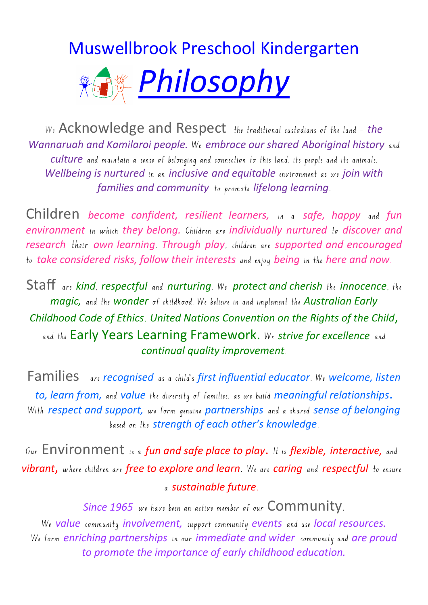# Muswellbrook Preschool Kindergarten



We Acknowledge and Respect the traditional custodians of the land - *the Wannaruah and Kamilaroi people.* We *embrace our shared Aboriginal history* and *culture* and maintain a sense of belonging and connection to this land, its people and its animals. *Wellbeing is nurtured* in an *inclusive and equitable* environment as we *join with families and community* to promote *lifelong learning*.

Children *become confident, resilient learners,* in a *safe, happy* and *fun environment* in which *they belong.* Children are *individually nurtured* to *discover and research* their *own learning*. *Through play*, children are *supported and encouraged* to *take considered risks, follow their interests* and enjoy *being* in the *here and now*.

Staff are *kind*, *respectful* and *nurturing*. We *protect and cherish* the *innocence*, the *magic,* and the *wonder* of childhood. We believe in and implement the *Australian Early Childhood Code of Ethics*, *United Nations Convention on the Rights of the Child*, and the Early Years Learning Framework. We *strive for excellence* and *continual quality improvement*.

Families are *recognised* as a child's *first influential educator*. We *welcome, listen to, learn from,* and *value* the diversity of families, as we build *meaningful relationships*. With *respect and support,* we form genuine *partnerships* and a shared *sense of belonging* based on the *strength of each other's knowledge*.

Our Environment is a *fun and safe place to play*. It is *flexible, interactive,* and *vibrant*, where children are *free to explore and learn*. We are *caring* and *respectful* to ensure a *sustainable future*.

Since 1965 we have been an active member of our Community. We *value* community *involvement,* support community *events* and use *local resources.* We form *enriching partnerships* in our *immediate and wider* community and *are proud to promote the importance of early childhood education.*